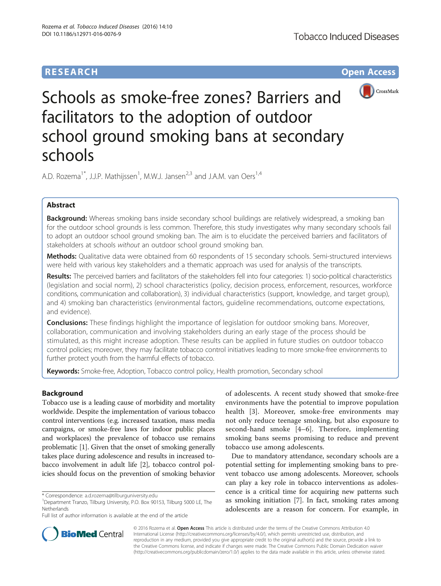## **RESEARCH CHE Open Access**



Schools as smoke-free zones? Barriers and facilitators to the adoption of outdoor school ground smoking bans at secondary schools

A.D. Rozema<sup>1\*</sup>, J.J.P. Mathijssen<sup>1</sup>, M.W.J. Jansen<sup>2,3</sup> and J.A.M. van Oers<sup>1,4</sup>

## Abstract

Background: Whereas smoking bans inside secondary school buildings are relatively widespread, a smoking ban for the outdoor school grounds is less common. Therefore, this study investigates why many secondary schools fail to adopt an outdoor school ground smoking ban. The aim is to elucidate the perceived barriers and facilitators of stakeholders at schools without an outdoor school ground smoking ban.

Methods: Qualitative data were obtained from 60 respondents of 15 secondary schools. Semi-structured interviews were held with various key stakeholders and a thematic approach was used for analysis of the transcripts.

Results: The perceived barriers and facilitators of the stakeholders fell into four categories: 1) socio-political characteristics (legislation and social norm), 2) school characteristics (policy, decision process, enforcement, resources, workforce conditions, communication and collaboration), 3) individual characteristics (support, knowledge, and target group), and 4) smoking ban characteristics (environmental factors, guideline recommendations, outcome expectations, and evidence).

**Conclusions:** These findings highlight the importance of legislation for outdoor smoking bans. Moreover, collaboration, communication and involving stakeholders during an early stage of the process should be stimulated, as this might increase adoption. These results can be applied in future studies on outdoor tobacco control policies; moreover, they may facilitate tobacco control initiatives leading to more smoke-free environments to further protect youth from the harmful effects of tobacco.

Keywords: Smoke-free, Adoption, Tobacco control policy, Health promotion, Secondary school

## Background

Tobacco use is a leading cause of morbidity and mortality worldwide. Despite the implementation of various tobacco control interventions (e.g. increased taxation, mass media campaigns, or smoke-free laws for indoor public places and workplaces) the prevalence of tobacco use remains problematic [\[1](#page-7-0)]. Given that the onset of smoking generally takes place during adolescence and results in increased tobacco involvement in adult life [\[2](#page-7-0)], tobacco control policies should focus on the prevention of smoking behavior

Full list of author information is available at the end of the article

of adolescents. A recent study showed that smoke-free environments have the potential to improve population health [[3\]](#page-7-0). Moreover, smoke-free environments may not only reduce teenage smoking, but also exposure to second-hand smoke [[4](#page-7-0)–[6](#page-7-0)]. Therefore, implementing smoking bans seems promising to reduce and prevent tobacco use among adolescents.

Due to mandatory attendance, secondary schools are a potential setting for implementing smoking bans to prevent tobacco use among adolescents. Moreover, schools can play a key role in tobacco interventions as adolescence is a critical time for acquiring new patterns such as smoking initiation [\[7\]](#page-7-0). In fact, smoking rates among adolescents are a reason for concern. For example, in



© 2016 Rozema et al. Open Access This article is distributed under the terms of the Creative Commons Attribution 4.0 International License [\(http://creativecommons.org/licenses/by/4.0/](http://creativecommons.org/licenses/by/4.0/)), which permits unrestricted use, distribution, and reproduction in any medium, provided you give appropriate credit to the original author(s) and the source, provide a link to the Creative Commons license, and indicate if changes were made. The Creative Commons Public Domain Dedication waiver [\(http://creativecommons.org/publicdomain/zero/1.0/](http://creativecommons.org/publicdomain/zero/1.0/)) applies to the data made available in this article, unless otherwise stated.

<sup>\*</sup> Correspondence: [a.d.rozema@tilburguniversity.edu](mailto:a.d.rozema@tilburguniversity.edu) <sup>1</sup>

<sup>&</sup>lt;sup>1</sup>Department Tranzo, Tilburg University, P.O. Box 90153, Tilburg 5000 LE, The Netherlands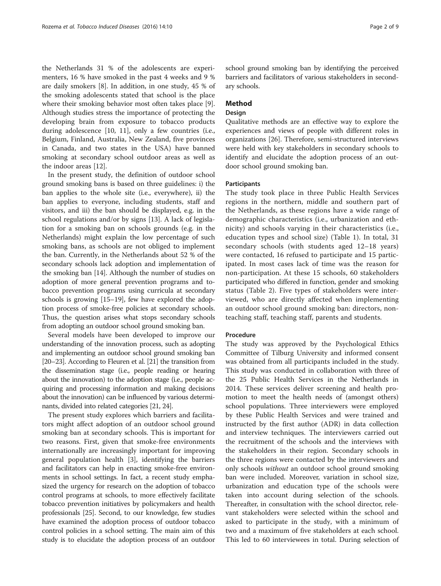the Netherlands 31 % of the adolescents are experimenters, 16 % have smoked in the past 4 weeks and 9 % are daily smokers [[8\]](#page-7-0). In addition, in one study, 45 % of the smoking adolescents stated that school is the place where their smoking behavior most often takes place [\[9](#page-7-0)]. Although studies stress the importance of protecting the developing brain from exposure to tobacco products during adolescence [[10](#page-7-0), [11](#page-7-0)], only a few countries (i.e., Belgium, Finland, Australia, New Zealand, five provinces in Canada, and two states in the USA) have banned smoking at secondary school outdoor areas as well as the indoor areas [\[12](#page-7-0)].

In the present study, the definition of outdoor school ground smoking bans is based on three guidelines: i) the ban applies to the whole site (i.e., everywhere), ii) the ban applies to everyone, including students, staff and visitors, and iii) the ban should be displayed, e.g. in the school regulations and/or by signs [[13](#page-7-0)]. A lack of legislation for a smoking ban on schools grounds (e.g. in the Netherlands) might explain the low percentage of such smoking bans, as schools are not obliged to implement the ban. Currently, in the Netherlands about 52 % of the secondary schools lack adoption and implementation of the smoking ban [\[14\]](#page-7-0). Although the number of studies on adoption of more general prevention programs and tobacco prevention programs using curricula at secondary schools is growing [\[15](#page-7-0)–[19](#page-7-0)], few have explored the adoption process of smoke-free policies at secondary schools. Thus, the question arises what stops secondary schools from adopting an outdoor school ground smoking ban.

Several models have been developed to improve our understanding of the innovation process, such as adopting and implementing an outdoor school ground smoking ban [[20](#page-7-0)–[23](#page-7-0)]. According to Fleuren et al. [\[21\]](#page-7-0) the transition from the dissemination stage (i.e., people reading or hearing about the innovation) to the adoption stage (i.e., people acquiring and processing information and making decisions about the innovation) can be influenced by various determinants, divided into related categories [\[21, 24\]](#page-7-0).

The present study explores which barriers and facilitators might affect adoption of an outdoor school ground smoking ban at secondary schools. This is important for two reasons. First, given that smoke-free environments internationally are increasingly important for improving general population health [[3\]](#page-7-0), identifying the barriers and facilitators can help in enacting smoke-free environments in school settings. In fact, a recent study emphasized the urgency for research on the adoption of tobacco control programs at schools, to more effectively facilitate tobacco prevention initiatives by policymakers and health professionals [[25](#page-7-0)]. Second, to our knowledge, few studies have examined the adoption process of outdoor tobacco control policies in a school setting. The main aim of this study is to elucidate the adoption process of an outdoor

school ground smoking ban by identifying the perceived barriers and facilitators of various stakeholders in secondary schools.

## Method

## Design

Qualitative methods are an effective way to explore the experiences and views of people with different roles in organizations [[26](#page-7-0)]. Therefore, semi-structured interviews were held with key stakeholders in secondary schools to identify and elucidate the adoption process of an outdoor school ground smoking ban.

## **Participants**

The study took place in three Public Health Services regions in the northern, middle and southern part of the Netherlands, as these regions have a wide range of demographic characteristics (i.e., urbanization and ethnicity) and schools varying in their characteristics (i.e., education types and school size) (Table [1\)](#page-2-0). In total, 31 secondary schools (with students aged 12–18 years) were contacted, 16 refused to participate and 15 participated. In most cases lack of time was the reason for non-participation. At these 15 schools, 60 stakeholders participated who differed in function, gender and smoking status (Table [2\)](#page-2-0). Five types of stakeholders were interviewed, who are directly affected when implementing an outdoor school ground smoking ban: directors, nonteaching staff, teaching staff, parents and students.

## Procedure

The study was approved by the Psychological Ethics Committee of Tilburg University and informed consent was obtained from all participants included in the study. This study was conducted in collaboration with three of the 25 Public Health Services in the Netherlands in 2014. These services deliver screening and health promotion to meet the health needs of (amongst others) school populations. Three interviewers were employed by these Public Health Services and were trained and instructed by the first author (ADR) in data collection and interview techniques. The interviewers carried out the recruitment of the schools and the interviews with the stakeholders in their region. Secondary schools in the three regions were contacted by the interviewers and only schools without an outdoor school ground smoking ban were included. Moreover, variation in school size, urbanization and education type of the schools were taken into account during selection of the schools. Thereafter, in consultation with the school director, relevant stakeholders were selected within the school and asked to participate in the study, with a minimum of two and a maximum of five stakeholders at each school. This led to 60 interviewees in total. During selection of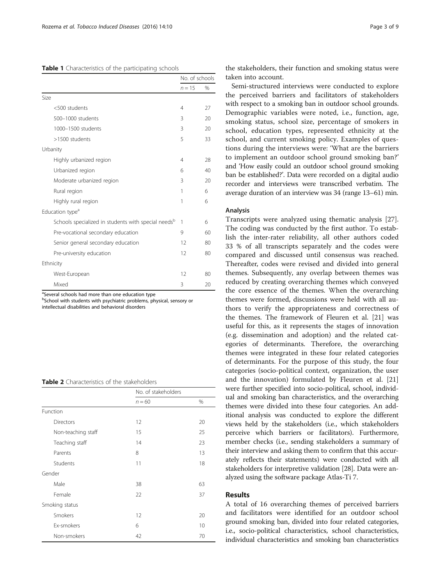<span id="page-2-0"></span>

| Table 1 Characteristics of the participating schools |  |  |
|------------------------------------------------------|--|--|
|                                                      |  |  |

|                                                                 | No. of schools |    |
|-----------------------------------------------------------------|----------------|----|
|                                                                 | $n = 15$       | %  |
| Size                                                            |                |    |
| <500 students                                                   | 4              | 27 |
| 500-1000 students                                               | 3              | 20 |
| 1000-1500 students                                              | 3              | 20 |
| >1500 students                                                  | 5              | 33 |
| Urbanity                                                        |                |    |
| Highly urbanized region                                         | 4              | 28 |
| Urbanized region                                                | 6              | 40 |
| Moderate urbanized region                                       | 3              | 20 |
| Rural region                                                    | 1              | 6  |
| Highly rural region                                             | 1              | 6  |
| Education type <sup>a</sup>                                     |                |    |
| Schools specialized in students with special needs <sup>b</sup> | 1              | 6  |
| Pre-vocational secondary education                              | 9              | 60 |
| Senior general secondary education                              | 12             | 80 |
| Pre-university education                                        | 12             | 80 |
| Ethnicity                                                       |                |    |
| West-European                                                   | 12             | 80 |
| Mixed                                                           | 3              | 20 |

<sup>a</sup>Several schools had more than one education type

**b**School with students with psychiatric problems, physical, sensory or intellectual disabilities and behavioral disorders

Table 2 Characteristics of the stakeholders

|        |                    | No. of stakeholders |    |
|--------|--------------------|---------------------|----|
|        |                    | $n = 60$            | %  |
|        | Function           |                     |    |
|        | <b>Directors</b>   | 12                  | 20 |
|        | Non-teaching staff | 15                  | 25 |
|        | Teaching staff     | 14                  | 23 |
|        | Parents            | 8                   | 13 |
|        | Students           | 11                  | 18 |
| Gender |                    |                     |    |
|        | Male               | 38                  | 63 |
|        | Female             | 22                  | 37 |
|        | Smoking status     |                     |    |
|        | Smokers            | 12                  | 20 |
|        | <b>Fx-smokers</b>  | 6                   | 10 |
|        | Non-smokers        | 42                  | 70 |

the stakeholders, their function and smoking status were taken into account.

Semi-structured interviews were conducted to explore the perceived barriers and facilitators of stakeholders with respect to a smoking ban in outdoor school grounds. Demographic variables were noted, i.e., function, age, smoking status, school size, percentage of smokers in school, education types, represented ethnicity at the school, and current smoking policy. Examples of questions during the interviews were: 'What are the barriers to implement an outdoor school ground smoking ban?' and 'How easily could an outdoor school ground smoking ban be established?'. Data were recorded on a digital audio recorder and interviews were transcribed verbatim. The average duration of an interview was 34 (range 13–61) min.

## Analysis

Transcripts were analyzed using thematic analysis [\[27](#page-7-0)]. The coding was conducted by the first author. To establish the inter-rater reliability, all other authors coded 33 % of all transcripts separately and the codes were compared and discussed until consensus was reached. Thereafter, codes were revised and divided into general themes. Subsequently, any overlap between themes was reduced by creating overarching themes which conveyed the core essence of the themes. When the overarching themes were formed, discussions were held with all authors to verify the appropriateness and correctness of the themes. The framework of Fleuren et al. [[21\]](#page-7-0) was useful for this, as it represents the stages of innovation (e.g. dissemination and adoption) and the related categories of determinants. Therefore, the overarching themes were integrated in these four related categories of determinants. For the purpose of this study, the four categories (socio-political context, organization, the user and the innovation) formulated by Fleuren et al. [[21](#page-7-0)] were further specified into socio-political, school, individual and smoking ban characteristics, and the overarching themes were divided into these four categories. An additional analysis was conducted to explore the different views held by the stakeholders (i.e., which stakeholders perceive which barriers or facilitators). Furthermore, member checks (i.e., sending stakeholders a summary of their interview and asking them to confirm that this accurately reflects their statements) were conducted with all stakeholders for interpretive validation [[28](#page-7-0)]. Data were analyzed using the software package Atlas-Ti 7.

#### Results

A total of 16 overarching themes of perceived barriers and facilitators were identified for an outdoor school ground smoking ban, divided into four related categories, i.e., socio-political characteristics, school characteristics, individual characteristics and smoking ban characteristics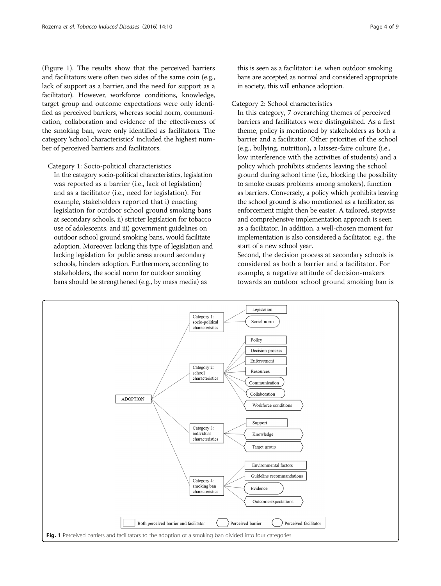(Figure 1). The results show that the perceived barriers and facilitators were often two sides of the same coin (e.g., lack of support as a barrier, and the need for support as a facilitator). However, workforce conditions, knowledge, target group and outcome expectations were only identified as perceived barriers, whereas social norm, communication, collaboration and evidence of the effectiveness of the smoking ban, were only identified as facilitators. The category 'school characteristics' included the highest number of perceived barriers and facilitators.

Category 1: Socio-political characteristics

In the category socio-political characteristics, legislation was reported as a barrier (i.e., lack of legislation) and as a facilitator (i.e., need for legislation). For example, stakeholders reported that i) enacting legislation for outdoor school ground smoking bans at secondary schools, ii) stricter legislation for tobacco use of adolescents, and iii) government guidelines on outdoor school ground smoking bans, would facilitate adoption. Moreover, lacking this type of legislation and lacking legislation for public areas around secondary schools, hinders adoption. Furthermore, according to stakeholders, the social norm for outdoor smoking bans should be strengthened (e.g., by mass media) as

this is seen as a facilitator: i.e. when outdoor smoking bans are accepted as normal and considered appropriate in society, this will enhance adoption.

Category 2: School characteristics

In this category, 7 overarching themes of perceived barriers and facilitators were distinguished. As a first theme, policy is mentioned by stakeholders as both a barrier and a facilitator. Other priorities of the school (e.g., bullying, nutrition), a laissez-faire culture (i.e., low interference with the activities of students) and a policy which prohibits students leaving the school ground during school time (i.e., blocking the possibility to smoke causes problems among smokers), function as barriers. Conversely, a policy which prohibits leaving the school ground is also mentioned as a facilitator, as enforcement might then be easier. A tailored, stepwise and comprehensive implementation approach is seen as a facilitator. In addition, a well-chosen moment for implementation is also considered a facilitator, e.g., the start of a new school year.

Second, the decision process at secondary schools is considered as both a barrier and a facilitator. For example, a negative attitude of decision-makers towards an outdoor school ground smoking ban is

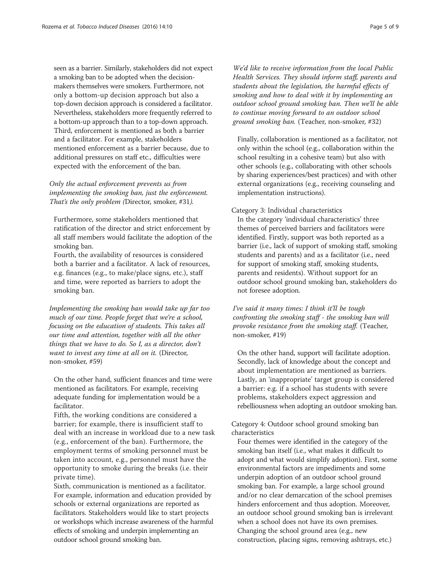seen as a barrier. Similarly, stakeholders did not expect a smoking ban to be adopted when the decisionmakers themselves were smokers. Furthermore, not only a bottom-up decision approach but also a top-down decision approach is considered a facilitator. Nevertheless, stakeholders more frequently referred to a bottom-up approach than to a top-down approach. Third, enforcement is mentioned as both a barrier and a facilitator. For example, stakeholders mentioned enforcement as a barrier because, due to additional pressures on staff etc., difficulties were expected with the enforcement of the ban.

Only the actual enforcement prevents us from implementing the smoking ban, just the enforcement. That's the only problem (Director, smoker, #31).

Furthermore, some stakeholders mentioned that ratification of the director and strict enforcement by all staff members would facilitate the adoption of the smoking ban.

Fourth, the availability of resources is considered both a barrier and a facilitator. A lack of resources, e.g. finances (e.g., to make/place signs, etc.), staff and time, were reported as barriers to adopt the smoking ban.

Implementing the smoking ban would take up far too much of our time. People forget that we're a school, focusing on the education of students. This takes all our time and attention, together with all the other things that we have to do. So I, as a director, don't want to invest any time at all on it. (Director, non-smoker, #59)

On the other hand, sufficient finances and time were mentioned as facilitators. For example, receiving adequate funding for implementation would be a facilitator.

Fifth, the working conditions are considered a barrier; for example, there is insufficient staff to deal with an increase in workload due to a new task (e.g., enforcement of the ban). Furthermore, the employment terms of smoking personnel must be taken into account, e.g., personnel must have the opportunity to smoke during the breaks (i.e. their private time).

Sixth, communication is mentioned as a facilitator. For example, information and education provided by schools or external organizations are reported as facilitators. Stakeholders would like to start projects or workshops which increase awareness of the harmful effects of smoking and underpin implementing an outdoor school ground smoking ban.

We'd like to receive information from the local Public Health Services. They should inform staff, parents and students about the legislation, the harmful effects of smoking and how to deal with it by implementing an outdoor school ground smoking ban. Then we'll be able to continue moving forward to an outdoor school ground smoking ban. (Teacher, non-smoker, #32)

Finally, collaboration is mentioned as a facilitator, not only within the school (e.g., collaboration within the school resulting in a cohesive team) but also with other schools (e.g., collaborating with other schools by sharing experiences/best practices) and with other external organizations (e.g., receiving counseling and implementation instructions).

Category 3: Individual characteristics

In the category 'individual characteristics' three themes of perceived barriers and facilitators were identified. Firstly, support was both reported as a barrier (i.e., lack of support of smoking staff, smoking students and parents) and as a facilitator (i.e., need for support of smoking staff, smoking students, parents and residents). Without support for an outdoor school ground smoking ban, stakeholders do not foresee adoption.

I've said it many times: I think it'll be tough confronting the smoking staff - the smoking ban will provoke resistance from the smoking staff. (Teacher, non-smoker, #19)

On the other hand, support will facilitate adoption. Secondly, lack of knowledge about the concept and about implementation are mentioned as barriers. Lastly, an 'inappropriate' target group is considered a barrier: e.g. if a school has students with severe problems, stakeholders expect aggression and rebelliousness when adopting an outdoor smoking ban.

Category 4: Outdoor school ground smoking ban characteristics

Four themes were identified in the category of the smoking ban itself (i.e., what makes it difficult to adopt and what would simplify adoption). First, some environmental factors are impediments and some underpin adoption of an outdoor school ground smoking ban. For example, a large school ground and/or no clear demarcation of the school premises hinders enforcement and thus adoption. Moreover, an outdoor school ground smoking ban is irrelevant when a school does not have its own premises. Changing the school ground area (e.g., new construction, placing signs, removing ashtrays, etc.)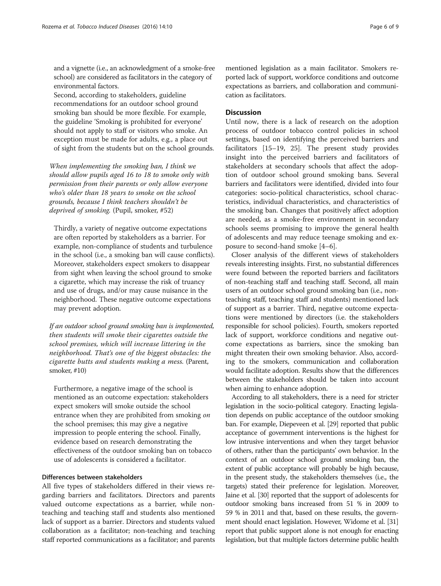and a vignette (i.e., an acknowledgment of a smoke-free school) are considered as facilitators in the category of environmental factors.

Second, according to stakeholders, guideline recommendations for an outdoor school ground smoking ban should be more flexible. For example, the guideline 'Smoking is prohibited for everyone' should not apply to staff or visitors who smoke. An exception must be made for adults, e.g., a place out of sight from the students but on the school grounds.

When implementing the smoking ban, I think we should allow pupils aged 16 to 18 to smoke only with permission from their parents or only allow everyone who's older than 18 years to smoke on the school grounds, because I think teachers shouldn't be deprived of smoking. (Pupil, smoker, #52)

Thirdly, a variety of negative outcome expectations are often reported by stakeholders as a barrier. For example, non-compliance of students and turbulence in the school (i.e., a smoking ban will cause conflicts). Moreover, stakeholders expect smokers to disappear from sight when leaving the school ground to smoke a cigarette, which may increase the risk of truancy and use of drugs, and/or may cause nuisance in the neighborhood. These negative outcome expectations may prevent adoption.

If an outdoor school ground smoking ban is implemented, then students will smoke their cigarettes outside the school premises, which will increase littering in the neighborhood. That's one of the biggest obstacles: the cigarette butts and students making a mess. (Parent, smoker, #10)

Furthermore, a negative image of the school is mentioned as an outcome expectation: stakeholders expect smokers will smoke outside the school entrance when they are prohibited from smoking on the school premises; this may give a negative impression to people entering the school. Finally, evidence based on research demonstrating the effectiveness of the outdoor smoking ban on tobacco use of adolescents is considered a facilitator.

## Differences between stakeholders

All five types of stakeholders differed in their views regarding barriers and facilitators. Directors and parents valued outcome expectations as a barrier, while nonteaching and teaching staff and students also mentioned lack of support as a barrier. Directors and students valued collaboration as a facilitator; non-teaching and teaching staff reported communications as a facilitator; and parents mentioned legislation as a main facilitator. Smokers reported lack of support, workforce conditions and outcome expectations as barriers, and collaboration and communication as facilitators.

## **Discussion**

Until now, there is a lack of research on the adoption process of outdoor tobacco control policies in school settings, based on identifying the perceived barriers and facilitators [[15](#page-7-0)–[19](#page-7-0), [25](#page-7-0)]. The present study provides insight into the perceived barriers and facilitators of stakeholders at secondary schools that affect the adoption of outdoor school ground smoking bans. Several barriers and facilitators were identified, divided into four categories: socio-political characteristics, school characteristics, individual characteristics, and characteristics of the smoking ban. Changes that positively affect adoption are needed, as a smoke-free environment in secondary schools seems promising to improve the general health of adolescents and may reduce teenage smoking and exposure to second-hand smoke [\[4](#page-7-0)–[6\]](#page-7-0).

Closer analysis of the different views of stakeholders reveals interesting insights. First, no substantial differences were found between the reported barriers and facilitators of non-teaching staff and teaching staff. Second, all main users of an outdoor school ground smoking ban (i.e., nonteaching staff, teaching staff and students) mentioned lack of support as a barrier. Third, negative outcome expectations were mentioned by directors (i.e. the stakeholders responsible for school policies). Fourth, smokers reported lack of support, workforce conditions and negative outcome expectations as barriers, since the smoking ban might threaten their own smoking behavior. Also, according to the smokers, communication and collaboration would facilitate adoption. Results show that the differences between the stakeholders should be taken into account when aiming to enhance adoption.

According to all stakeholders, there is a need for stricter legislation in the socio-political category. Enacting legislation depends on public acceptance of the outdoor smoking ban. For example, Diepeveen et al. [\[29](#page-7-0)] reported that public acceptance of government interventions is the highest for low intrusive interventions and when they target behavior of others, rather than the participants' own behavior. In the context of an outdoor school ground smoking ban, the extent of public acceptance will probably be high because, in the present study, the stakeholders themselves (i.e., the targets) stated their preference for legislation. Moreover, Jaine et al. [\[30](#page-7-0)] reported that the support of adolescents for outdoor smoking bans increased from 51 % in 2009 to 59 % in 2011 and that, based on these results, the government should enact legislation. However, Widome et al. [\[31](#page-7-0)] report that public support alone is not enough for enacting legislation, but that multiple factors determine public health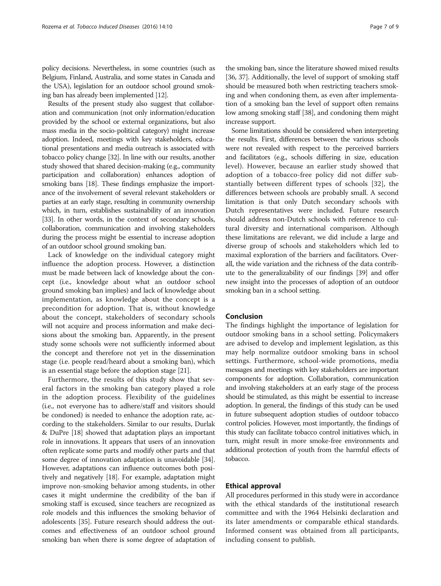policy decisions. Nevertheless, in some countries (such as Belgium, Finland, Australia, and some states in Canada and the USA), legislation for an outdoor school ground smoking ban has already been implemented [\[12](#page-7-0)].

Results of the present study also suggest that collaboration and communication (not only information/education provided by the school or external organizations, but also mass media in the socio-political category) might increase adoption. Indeed, meetings with key stakeholders, educational presentations and media outreach is associated with tobacco policy change [[32](#page-7-0)]. In line with our results, another study showed that shared decision-making (e.g., community participation and collaboration) enhances adoption of smoking bans [[18](#page-7-0)]. These findings emphasize the importance of the involvement of several relevant stakeholders or parties at an early stage, resulting in community ownership which, in turn, establishes sustainability of an innovation [[33](#page-7-0)]. In other words, in the context of secondary schools, collaboration, communication and involving stakeholders during the process might be essential to increase adoption of an outdoor school ground smoking ban.

Lack of knowledge on the individual category might influence the adoption process. However, a distinction must be made between lack of knowledge about the concept (i.e., knowledge about what an outdoor school ground smoking ban implies) and lack of knowledge about implementation, as knowledge about the concept is a precondition for adoption. That is, without knowledge about the concept, stakeholders of secondary schools will not acquire and process information and make decisions about the smoking ban. Apparently, in the present study some schools were not sufficiently informed about the concept and therefore not yet in the dissemination stage (i.e. people read/heard about a smoking ban), which is an essential stage before the adoption stage [\[21\]](#page-7-0).

Furthermore, the results of this study show that several factors in the smoking ban category played a role in the adoption process. Flexibility of the guidelines (i.e., not everyone has to adhere/staff and visitors should be condoned) is needed to enhance the adoption rate, according to the stakeholders. Similar to our results, Durlak & DuPre [\[18](#page-7-0)] showed that adaptation plays an important role in innovations. It appears that users of an innovation often replicate some parts and modify other parts and that some degree of innovation adaptation is unavoidable [[34](#page-7-0)]. However, adaptations can influence outcomes both positively and negatively [\[18\]](#page-7-0). For example, adaptation might improve non-smoking behavior among students, in other cases it might undermine the credibility of the ban if smoking staff is excused, since teachers are recognized as role models and this influences the smoking behavior of adolescents [\[35\]](#page-7-0). Future research should address the outcomes and effectiveness of an outdoor school ground smoking ban when there is some degree of adaptation of

the smoking ban, since the literature showed mixed results [[36](#page-7-0), [37](#page-8-0)]. Additionally, the level of support of smoking staff should be measured both when restricting teachers smoking and when condoning them, as even after implementation of a smoking ban the level of support often remains low among smoking staff [\[38\]](#page-8-0), and condoning them might increase support.

Some limitations should be considered when interpreting the results. First, differences between the various schools were not revealed with respect to the perceived barriers and facilitators (e.g., schools differing in size, education level). However, because an earlier study showed that adoption of a tobacco-free policy did not differ substantially between different types of schools [[32](#page-7-0)], the differences between schools are probably small. A second limitation is that only Dutch secondary schools with Dutch representatives were included. Future research should address non-Dutch schools with reference to cultural diversity and international comparison. Although these limitations are relevant, we did include a large and diverse group of schools and stakeholders which led to maximal exploration of the barriers and facilitators. Overall, the wide variation and the richness of the data contribute to the generalizability of our findings [\[39\]](#page-8-0) and offer new insight into the processes of adoption of an outdoor smoking ban in a school setting.

## Conclusion

The findings highlight the importance of legislation for outdoor smoking bans in a school setting. Policymakers are advised to develop and implement legislation, as this may help normalize outdoor smoking bans in school settings. Furthermore, school-wide promotions, media messages and meetings with key stakeholders are important components for adoption. Collaboration, communication and involving stakeholders at an early stage of the process should be stimulated, as this might be essential to increase adoption. In general, the findings of this study can be used in future subsequent adoption studies of outdoor tobacco control policies. However, most importantly, the findings of this study can facilitate tobacco control initiatives which, in turn, might result in more smoke-free environments and additional protection of youth from the harmful effects of tobacco.

#### Ethical approval

All procedures performed in this study were in accordance with the ethical standards of the institutional research committee and with the 1964 Helsinki declaration and its later amendments or comparable ethical standards. Informed consent was obtained from all participants, including consent to publish.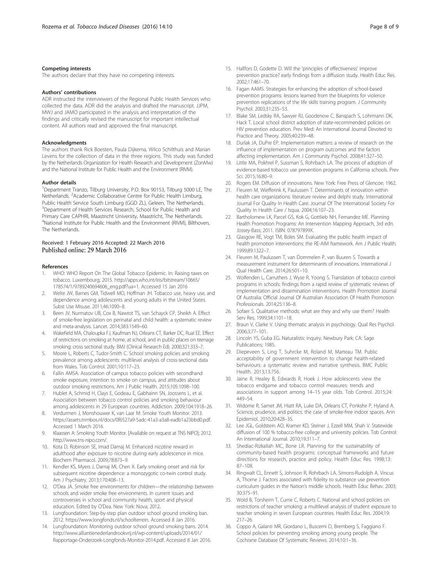### <span id="page-7-0"></span>Competing interests

The authors declare that they have no competing interests.

#### Authors' contributions

ADR instructed the interviewers of the Regional Public Health Services who collected the data. ADR did the analysis and drafted the manuscript. JJPM, MWJ and JAMO participated in the analysis and interpretation of the findings and critically revised the manuscript for important intellectual content. All authors read and approved the final manuscript.

#### **Acknowledaments**

The authors thank Rick Boesten, Paula Dijkema, Wilco Schilthuis and Marian Levens for the collection of data in the three regions. This study was funded by the Netherlands Organization for Health Research and Development (ZonMw) and the National Institute for Public Health and the Environment (RIVM).

#### Author details

<sup>1</sup>Department Tranzo, Tilburg University, P.O. Box 90153, Tilburg 5000 LE, The Netherlands. <sup>2</sup> Academic Collaborative Centre for Public Health Limburg, Public Health Service South Limburg (GGD ZL), Geleen, The Netherlands. <sup>3</sup>Department of Health Services Research, School for Public Health and Primary Care CAPHRI, Maastricht University, Maastricht, The Netherlands. 4 National Institute for Public Health and the Environment (RIVM), Bilthoven, The Netherlands.

# Received: 1 February 2016 Accepted: 22 March 2016<br>Published online: 29 March 2016

#### References

- WHO: WHO Report On The Global Tobacco Epidemic. In: Raising taxes on tobacco. Luxembourg; 2015. [http://apps.who.int/iris/bitstream/10665/](http://apps.who.int/iris/bitstream/10665/178574/1/9789240694606_eng.pdf?ua=1) [178574/1/9789240694606\\_eng.pdf?ua=1](http://apps.who.int/iris/bitstream/10665/178574/1/9789240694606_eng.pdf?ua=1). Accessed 15 Jan 2016
- 2. Welte JW, Barnes GM, Tidwell MO, Hoffman JH. Tobacco use, heavy use, and dependence among adolescents and young adults in the United States. Subst Use Misuse. 2011;46:1090–8.
- 3. Been JV, Nurmatov UB, Cox B, Nawrot TS, van Schayck CP, Sheikh A. Effect of smoke-free legislation on perinatal and child health: a systematic review and meta-analysis. Lancet. 2014;383:1549–60.
- 4. Wakefield MA, Chaloupka FJ, Kaufman NJ, Orleans CT, Barker DC, Rual EE. Effect of restrictions on smoking at home, at school, and in public places on teenage smoking: cross sectional study. BMJ (Clinical Research Ed). 2000;321:333–7.
- 5. Moore L, Roberts C, Tudor-Smith C. School smoking policies and smoking prevalence among adolescents: multilevel analysis of cross-sectional data from Wales. Tob Control. 2001;10:117–23.
- 6. Fallin AMSA. Association of campus tobacco policies with secondhand smoke exposure, intention to smoke on campus, and attitudes about outdoor smoking restrictions. Am J Public Health. 2015;105:1098–100.
- 7. Hublet A, Schmid H, Clays E, Godeau E, Gabhainn SN, Joossens L, et al. Association between tobacco control policies and smoking behaviour among adolescents in 29 European countries. Addiction. 2009;104:1918–26.
- 8. Verdurmen J, Monshouwer K, van Laar M: Smoke Youth Monitor. 2013. [https://assets.trimbos.nl/docs/0f6527a9-5adc-41a3-a3a8-eadb1a23bbd0.pdf.](https://assets.trimbos.nl/docs/0f6527a9-5adc-41a3-a3a8-eadb1a23bbd0.pdf) Accessed 1 March 2016.
- Klaassen A: Smoking Youth Monitor. [Available on request at TNS NIPO]; 2012. [http://www.tns-nipo.com/.](http://www.tns-nipo.com/)
- 10. Kota D, Robinson SE, Imad Damaj M. Enhanced nicotine reward in adulthood after exposure to nicotine during early adolescence in mice. Biochem Pharmacol. 2009;78:873–9.
- 11. Kendler KS, Myers J, Damaj MI, Chen X. Early smoking onset and risk for subsequent nicotine dependence: a monozygotic co-twin control study. Am J Psychiatry. 2013;170:408–13.
- 12. O'Dea JA. Smoke free environments for children—the relationship between schools and wider smoke free environments. In current issues and controversies in school and community health, sport and physical education. Edited by O'Dea. New York: Nova; 2012.
- 13. Lungfoundation: Step-by-step plan outdoor school ground smoking ban. 2012.<https://www.longfonds.nl/schoolterrein>. Accessed 8 Jan 2016.
- 14. Lungfoundation: Monitoring outdoor school ground smoking bans. 2014. [http://www.alliantienederlandrookvrij.nl/wp-content/uploads/2014/01/](http://www.alliantienederlandrookvrij.nl/wp-content/uploads/2014/01/Rapportage-Onderzoek-Longfonds-Monitor-2014.pdf) [Rapportage-Onderzoek-Longfonds-Monitor-2014.pdf](http://www.alliantienederlandrookvrij.nl/wp-content/uploads/2014/01/Rapportage-Onderzoek-Longfonds-Monitor-2014.pdf). Accessed 8 Jan 2016.
- 15. Hallfors D, Godette D. Will the 'principles of effectiveness' improve prevention practice? early findings from a diffusion study. Health Educ Res. 2002;17:461–70.
- 16. Fagan AAMS. Strategies for enhancing the adoption of school-based prevention programs: lessons learned from the blueprints for violence prevention replications of the life skills training program. J Community Psychol. 2003;31:235–53.
- 17. Blake SM, Ledsky RA, Sawyer RJ, Goodenow C, Banspach S, Lohrmann DK, Hack T. Local school district adoption of state-recommended policies on HIV prevention education. Prev Med: An International Journal Devoted to Practice and Theory. 2005;40:239–48.
- 18. Durlak JA, DuPre EP. Implementation matters: a review of research on the influence of implementation on program outcomes and the factors affecting implementation. Am J Community Psychol. 2008;41:327–50.
- 19. Little MA, Pokhrel P, Sussman S, Rohrbach LA. The process of adoption of evidence-based tobacco use prevention programs in California schools. Prev Sci. 2015;16:80–9.
- 20. Rogers EM. Diffusion of innovations. New York: Free Press of Glencoe; 1962.
- 21. Fleuren M, Wiefferink K, Paulussen T. Determinants of innovation within health care organizations: literature review and delphi study. International Journal For Quality In Health Care: Journal Of The International Society For Quality In Health Care / Isqua. 2004;16:107–23.
- 22. Bartholomew LK, Parcel GS, Kok G, Gottlieb NH, Fernandez ME. Planning Health Promotion Programs: An Intervention Mapping Approach, 3rd edn. Jossey-Bass; 2011. ISBN: 078797899X.
- 23. Glasgow RE, Vogt TM, Boles SM. Evaluating the public health impact of health promotion interventions: the RE-AIM framework. Am J Public Health. 1999;89:1322–7.
- 24. Fleuren M, Paulussen T, van Dommelen P, van Buuren S. Towards a measurement instrument for determinants of innovations. International J Qual Health Care. 2014;26:501–10.
- 25. Wolfenden L, Carruthers J, Wyse R, Yoong S. Translation of tobacco control programs in schools: findings from a rapid review of systematic reviews of implementation and dissemination interventions. Health Promotion Journal Of Australia: Official Journal Of Australian Association Of Health Promotion Professionals. 2014;25:136–8.
- 26. Sofaer S. Qualitative methods: what are they and why use them? Health Serv Res. 1999;34:1101–18.
- 27. Braun V, Clarke V. Using thematic analysis in psychology. Qual Res Psychol. 2006;3:77–101.
- 28. Lincoln YS, Guba EG. Naturalistic inquiry. Newbury Park: CA: Sage Publications; 1985.
- 29. Diepeveen S, Ling T, Suhrcke M, Roland M, Marteau TM. Public acceptability of government intervention to change health-related behaviours: a systematic review and narrative synthesis. BMC Public Health. 2013;13:756.
- 30. Jaine R, Healey B, Edwards R, Hoek J. How adolescents view the tobacco endgame and tobacco control measures: trends and associations in support among 14–15 year olds. Tob Control. 2015;24: 449–54.
- 31. Widome R, Samet JM, Hiatt RA, Luke DA, Orleans CT, Ponkshe P, Hyland A. Science, prudence, and politics: the case of smoke-free indoor spaces. Ann Epidemiol. 2010;20:428–35.
- 32. Lee JGL, Goldstein AO, Kramer KD, Steiner J, Ezzell MM, Shah V. Statewide diffusion of 100 % tobacco-free college and university policies. Tob Control: An International Journal. 2010;19:311–7.
- 33. Shediac-Rizkallah MC, Bone LR. Planning for the sustainability of community-based health programs: conceptual frameworks and future directions for research, practice and policy. Health Educ Res. 1998;13: 87–108.
- 34. Ringwalt CL, Ennett S, Johnson R, Rohrbach LA, Simons-Rudolph A, Vincus A, Thorne J. Factors associated with fidelity to substance use prevention curriculum guides in the Nation's middle schools. Health Educ Behav. 2003; 30:375–91.
- 35. Wold B, Torsheim T, Currie C, Roberts C. National and school policies on restrictions of teacher smoking: a multilevel analysis of student exposure to teacher smoking in seven European countries. Health Educ Res. 2004;19: 217–26.
- 36. Coppo A, Galanti MR, Giordano L, Buscemi D, Bremberg S, Faggiano F. School policies for preventing smoking among young people. The Cochrane Database Of Systematic Reviews. 2014;10:1–36.